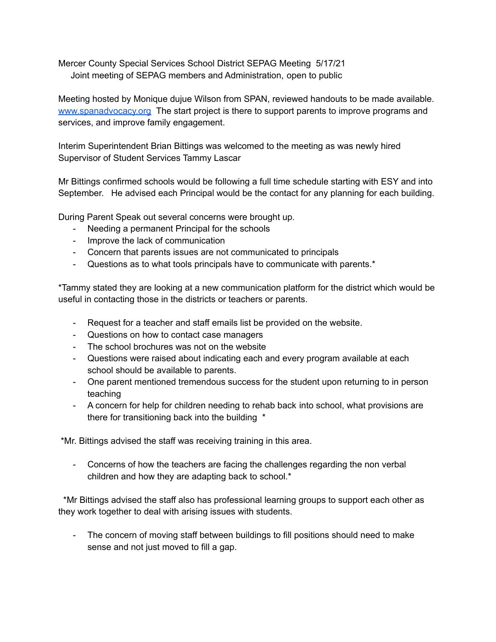Mercer County Special Services School District SEPAG Meeting 5/17/21 Joint meeting of SEPAG members and Administration, open to public

Meeting hosted by Monique dujue Wilson from SPAN, reviewed handouts to be made available. [www.spanadvocacy.org](http://www.spanadvocacy.org) The start project is there to support parents to improve programs and services, and improve family engagement.

Interim Superintendent Brian Bittings was welcomed to the meeting as was newly hired Supervisor of Student Services Tammy Lascar

Mr Bittings confirmed schools would be following a full time schedule starting with ESY and into September. He advised each Principal would be the contact for any planning for each building.

During Parent Speak out several concerns were brought up.

- Needing a permanent Principal for the schools
- Improve the lack of communication
- Concern that parents issues are not communicated to principals
- Questions as to what tools principals have to communicate with parents.\*

\*Tammy stated they are looking at a new communication platform for the district which would be useful in contacting those in the districts or teachers or parents.

- Request for a teacher and staff emails list be provided on the website.
- Questions on how to contact case managers
- The school brochures was not on the website
- Questions were raised about indicating each and every program available at each school should be available to parents.
- One parent mentioned tremendous success for the student upon returning to in person teaching
- A concern for help for children needing to rehab back into school, what provisions are there for transitioning back into the building \*

\*Mr. Bittings advised the staff was receiving training in this area.

- Concerns of how the teachers are facing the challenges regarding the non verbal children and how they are adapting back to school.\*

\*Mr Bittings advised the staff also has professional learning groups to support each other as they work together to deal with arising issues with students.

- The concern of moving staff between buildings to fill positions should need to make sense and not just moved to fill a gap.